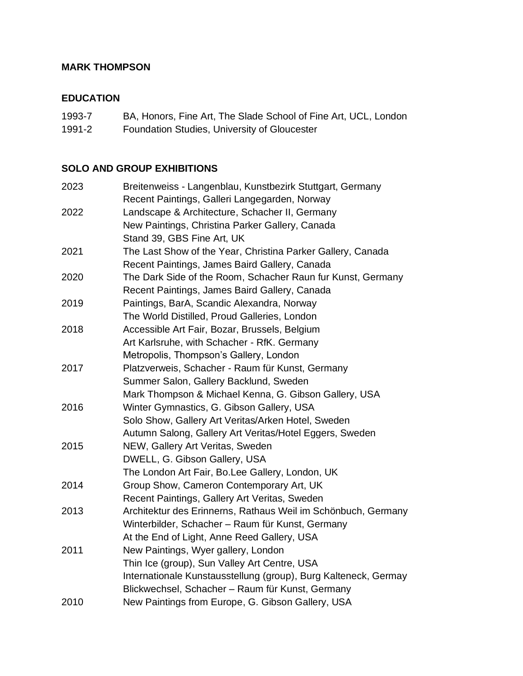## **MARK THOMPSON**

## **EDUCATION**

| BA, Honors, Fine Art, The Slade School of Fine Art, UCL, London<br>1993-7 |  |
|---------------------------------------------------------------------------|--|
|---------------------------------------------------------------------------|--|

1991-2 Foundation Studies, University of Gloucester

## **SOLO AND GROUP EXHIBITIONS**

| 2023 | Breitenweiss - Langenblau, Kunstbezirk Stuttgart, Germany       |
|------|-----------------------------------------------------------------|
|      | Recent Paintings, Galleri Langegarden, Norway                   |
| 2022 | Landscape & Architecture, Schacher II, Germany                  |
|      | New Paintings, Christina Parker Gallery, Canada                 |
|      | Stand 39, GBS Fine Art, UK                                      |
| 2021 | The Last Show of the Year, Christina Parker Gallery, Canada     |
|      | Recent Paintings, James Baird Gallery, Canada                   |
| 2020 | The Dark Side of the Room, Schacher Raun fur Kunst, Germany     |
|      | Recent Paintings, James Baird Gallery, Canada                   |
| 2019 | Paintings, BarA, Scandic Alexandra, Norway                      |
|      | The World Distilled, Proud Galleries, London                    |
| 2018 | Accessible Art Fair, Bozar, Brussels, Belgium                   |
|      | Art Karlsruhe, with Schacher - RfK. Germany                     |
|      | Metropolis, Thompson's Gallery, London                          |
| 2017 | Platzverweis, Schacher - Raum für Kunst, Germany                |
|      | Summer Salon, Gallery Backlund, Sweden                          |
|      | Mark Thompson & Michael Kenna, G. Gibson Gallery, USA           |
| 2016 | Winter Gymnastics, G. Gibson Gallery, USA                       |
|      | Solo Show, Gallery Art Veritas/Arken Hotel, Sweden              |
|      | Autumn Salong, Gallery Art Veritas/Hotel Eggers, Sweden         |
| 2015 | NEW, Gallery Art Veritas, Sweden                                |
|      | DWELL, G. Gibson Gallery, USA                                   |
|      | The London Art Fair, Bo.Lee Gallery, London, UK                 |
| 2014 | Group Show, Cameron Contemporary Art, UK                        |
|      | Recent Paintings, Gallery Art Veritas, Sweden                   |
| 2013 | Architektur des Erinnerns, Rathaus Weil im Schönbuch, Germany   |
|      | Winterbilder, Schacher - Raum für Kunst, Germany                |
|      | At the End of Light, Anne Reed Gallery, USA                     |
| 2011 | New Paintings, Wyer gallery, London                             |
|      | Thin Ice (group), Sun Valley Art Centre, USA                    |
|      | Internationale Kunstausstellung (group), Burg Kalteneck, Germay |
|      | Blickwechsel, Schacher - Raum für Kunst, Germany                |
| 2010 | New Paintings from Europe, G. Gibson Gallery, USA               |
|      |                                                                 |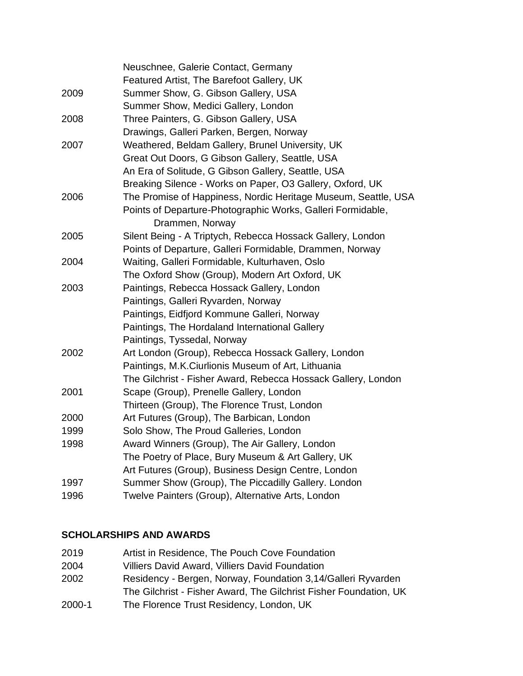|      | Neuschnee, Galerie Contact, Germany                            |
|------|----------------------------------------------------------------|
|      | Featured Artist, The Barefoot Gallery, UK                      |
| 2009 | Summer Show, G. Gibson Gallery, USA                            |
|      | Summer Show, Medici Gallery, London                            |
| 2008 | Three Painters, G. Gibson Gallery, USA                         |
|      | Drawings, Galleri Parken, Bergen, Norway                       |
| 2007 | Weathered, Beldam Gallery, Brunel University, UK               |
|      | Great Out Doors, G Gibson Gallery, Seattle, USA                |
|      | An Era of Solitude, G Gibson Gallery, Seattle, USA             |
|      | Breaking Silence - Works on Paper, O3 Gallery, Oxford, UK      |
| 2006 | The Promise of Happiness, Nordic Heritage Museum, Seattle, USA |
|      | Points of Departure-Photographic Works, Galleri Formidable,    |
|      | Drammen, Norway                                                |
| 2005 | Silent Being - A Triptych, Rebecca Hossack Gallery, London     |
|      | Points of Departure, Galleri Formidable, Drammen, Norway       |
| 2004 | Waiting, Galleri Formidable, Kulturhaven, Oslo                 |
|      | The Oxford Show (Group), Modern Art Oxford, UK                 |
| 2003 | Paintings, Rebecca Hossack Gallery, London                     |
|      | Paintings, Galleri Ryvarden, Norway                            |
|      | Paintings, Eidfjord Kommune Galleri, Norway                    |
|      | Paintings, The Hordaland International Gallery                 |
|      | Paintings, Tyssedal, Norway                                    |
| 2002 | Art London (Group), Rebecca Hossack Gallery, London            |
|      | Paintings, M.K.Ciurlionis Museum of Art, Lithuania             |
|      | The Gilchrist - Fisher Award, Rebecca Hossack Gallery, London  |
| 2001 | Scape (Group), Prenelle Gallery, London                        |
|      | Thirteen (Group), The Florence Trust, London                   |
| 2000 | Art Futures (Group), The Barbican, London                      |
| 1999 | Solo Show, The Proud Galleries, London                         |
| 1998 | Award Winners (Group), The Air Gallery, London                 |
|      | The Poetry of Place, Bury Museum & Art Gallery, UK             |
|      | Art Futures (Group), Business Design Centre, London            |
| 1997 | Summer Show (Group), The Piccadilly Gallery. London            |
| 1996 | Twelve Painters (Group), Alternative Arts, London              |
|      |                                                                |

# **SCHOLARSHIPS AND AWARDS**

| 2019   | Artist in Residence, The Pouch Cove Foundation                    |
|--------|-------------------------------------------------------------------|
| 2004   | Villiers David Award, Villiers David Foundation                   |
| 2002   | Residency - Bergen, Norway, Foundation 3,14/Galleri Ryvarden      |
|        | The Gilchrist - Fisher Award, The Gilchrist Fisher Foundation, UK |
| 2000-1 | The Florence Trust Residency, London, UK                          |
|        |                                                                   |